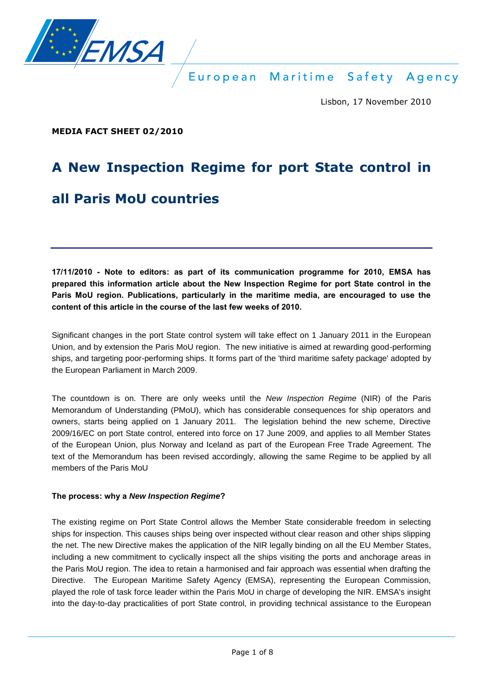

Lisbon, 17 November 2010

**MEDIA FACT SHEET 02/2010** 

# **A New Inspection Regime for port State control in**

# **all Paris MoU countries**

**17/11/2010 - Note to editors: as part of its communication programme for 2010, EMSA has prepared this information article about the New Inspection Regime for port State control in the Paris MoU region. Publications, particularly in the maritime media, are encouraged to use the content of this article in the course of the last few weeks of 2010.** 

Significant changes in the port State control system will take effect on 1 January 2011 in the European Union, and by extension the Paris MoU region. The new initiative is aimed at rewarding good-performing ships, and targeting poor-performing ships. It forms part of the 'third maritime safety package' adopted by the European Parliament in March 2009.

The countdown is on. There are only weeks until the *New Inspection Regime* (NIR) of the Paris Memorandum of Understanding (PMoU), which has considerable consequences for ship operators and owners, starts being applied on 1 January 2011. The legislation behind the new scheme, Directive 2009/16/EC on port State control, entered into force on 17 June 2009, and applies to all Member States of the European Union, plus Norway and Iceland as part of the European Free Trade Agreement. The text of the Memorandum has been revised accordingly, allowing the same Regime to be applied by all members of the Paris MoU

#### **The process: why a** *New Inspection Regime***?**

The existing regime on Port State Control allows the Member State considerable freedom in selecting ships for inspection. This causes ships being over inspected without clear reason and other ships slipping the net. The new Directive makes the application of the NIR legally binding on all the EU Member States, including a new commitment to cyclically inspect all the ships visiting the ports and anchorage areas in the Paris MoU region. The idea to retain a harmonised and fair approach was essential when drafting the Directive. The European Maritime Safety Agency (EMSA), representing the European Commission, played the role of task force leader within the Paris MoU in charge of developing the NIR. EMSA's insight into the day-to-day practicalities of port State control, in providing technical assistance to the European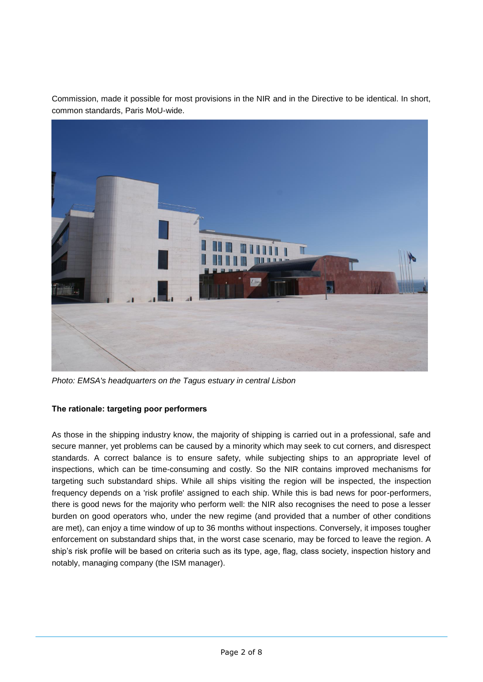Commission, made it possible for most provisions in the NIR and in the Directive to be identical. In short, common standards, Paris MoU-wide.



*Photo: EMSA's headquarters on the Tagus estuary in central Lisbon* 

#### **The rationale: targeting poor performers**

As those in the shipping industry know, the majority of shipping is carried out in a professional, safe and secure manner, yet problems can be caused by a minority which may seek to cut corners, and disrespect standards. A correct balance is to ensure safety, while subjecting ships to an appropriate level of inspections, which can be time-consuming and costly. So the NIR contains improved mechanisms for targeting such substandard ships. While all ships visiting the region will be inspected, the inspection frequency depends on a 'risk profile' assigned to each ship. While this is bad news for poor-performers, there is good news for the majority who perform well: the NIR also recognises the need to pose a lesser burden on good operators who, under the new regime (and provided that a number of other conditions are met), can enjoy a time window of up to 36 months without inspections. Conversely, it imposes tougher enforcement on substandard ships that, in the worst case scenario, may be forced to leave the region. A ship's risk profile will be based on criteria such as its type, age, flag, class society, inspection history and notably, managing company (the ISM manager).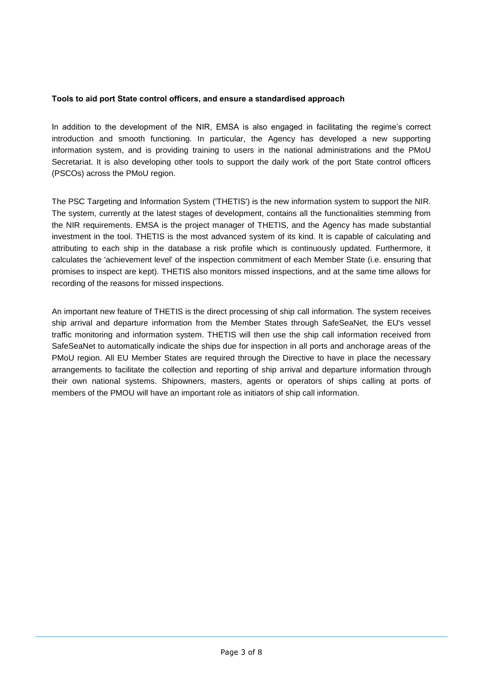#### **Tools to aid port State control officers, and ensure a standardised approach**

In addition to the development of the NIR, EMSA is also engaged in facilitating the regime's correct introduction and smooth functioning. In particular, the Agency has developed a new supporting information system, and is providing training to users in the national administrations and the PMoU Secretariat. It is also developing other tools to support the daily work of the port State control officers (PSCOs) across the PMoU region.

The PSC Targeting and Information System ('THETIS') is the new information system to support the NIR. The system, currently at the latest stages of development, contains all the functionalities stemming from the NIR requirements. EMSA is the project manager of THETIS, and the Agency has made substantial investment in the tool. THETIS is the most advanced system of its kind. It is capable of calculating and attributing to each ship in the database a risk profile which is continuously updated. Furthermore, it calculates the 'achievement level' of the inspection commitment of each Member State (i.e. ensuring that promises to inspect are kept). THETIS also monitors missed inspections, and at the same time allows for recording of the reasons for missed inspections.

An important new feature of THETIS is the direct processing of ship call information. The system receives ship arrival and departure information from the Member States through SafeSeaNet, the EU's vessel traffic monitoring and information system. THETIS will then use the ship call information received from SafeSeaNet to automatically indicate the ships due for inspection in all ports and anchorage areas of the PMoU region. All EU Member States are required through the Directive to have in place the necessary arrangements to facilitate the collection and reporting of ship arrival and departure information through their own national systems. Shipowners, masters, agents or operators of ships calling at ports of members of the PMOU will have an important role as initiators of ship call information.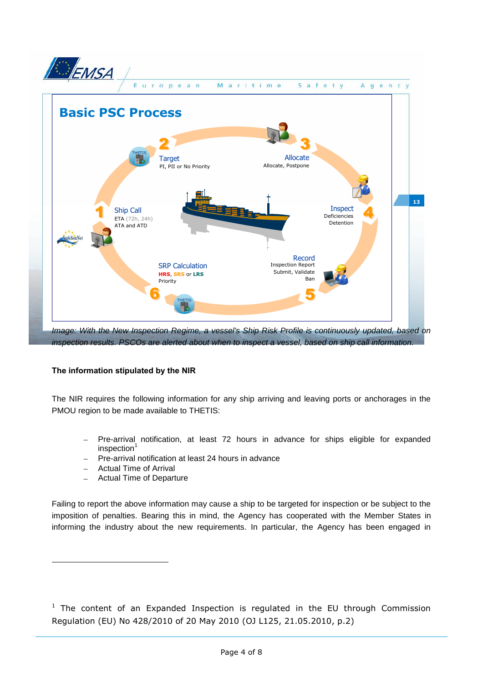

#### **The information stipulated by the NIR**

The NIR requires the following information for any ship arriving and leaving ports or anchorages in the PMOU region to be made available to THETIS:

- Pre-arrival notification, at least 72 hours in advance for ships eligible for expanded inspection<sup>1</sup>
- Pre-arrival notification at least 24 hours in advance
- Actual Time of Arrival

Actual Time of Departure

Failing to report the above information may cause a ship to be targeted for inspection or be subject to the imposition of penalties. Bearing this in mind, the Agency has cooperated with the Member States in informing the industry about the new requirements. In particular, the Agency has been engaged in

 $1$  The content of an Expanded Inspection is regulated in the EU through Commission Regulation (EU) No 428/2010 of 20 May 2010 (OJ L125, 21.05.2010, p.2)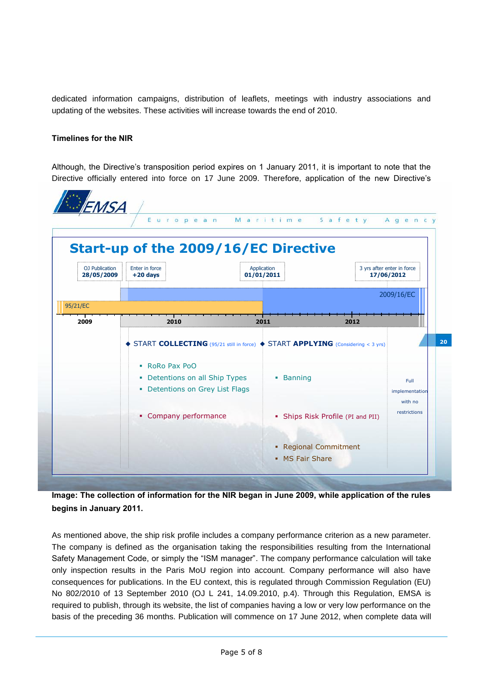dedicated information campaigns, distribution of leaflets, meetings with industry associations and updating of the websites. These activities will increase towards the end of 2010.

#### **Timelines for the NIR**

Although, the Directive's transposition period expires on 1 January 2011, it is important to note that the Directive officially entered into force on 17 June 2009. Therefore, application of the new Directive's



**Image: The collection of information for the NIR began in June 2009, while application of the rules begins in January 2011.** 

As mentioned above, the ship risk profile includes a company performance criterion as a new parameter. The company is defined as the organisation taking the responsibilities resulting from the International Safety Management Code, or simply the "ISM manager". The company performance calculation will take only inspection results in the Paris MoU region into account. Company performance will also have consequences for publications. In the EU context, this is regulated through Commission Regulation (EU) No 802/2010 of 13 September 2010 (OJ L 241, 14.09.2010, p.4). Through this Regulation, EMSA is required to publish, through its website, the list of companies having a low or very low performance on the basis of the preceding 36 months. Publication will commence on 17 June 2012, when complete data will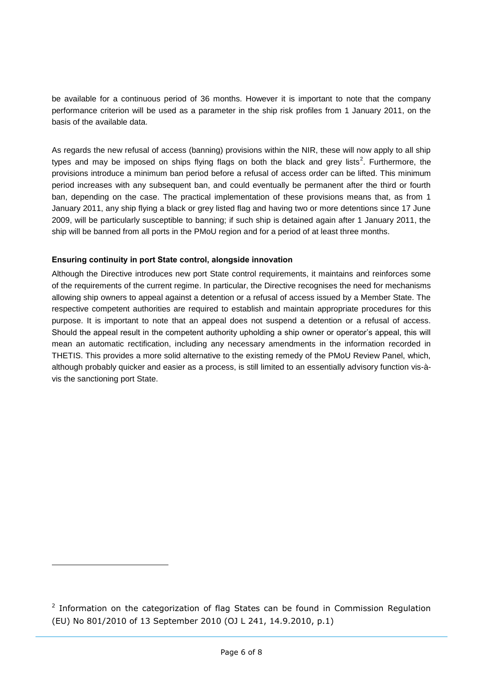be available for a continuous period of 36 months. However it is important to note that the company performance criterion will be used as a parameter in the ship risk profiles from 1 January 2011, on the basis of the available data.

As regards the new refusal of access (banning) provisions within the NIR, these will now apply to all ship types and may be imposed on ships flying flags on both the black and grey lists<sup>2</sup>. Furthermore, the provisions introduce a minimum ban period before a refusal of access order can be lifted. This minimum period increases with any subsequent ban, and could eventually be permanent after the third or fourth ban, depending on the case. The practical implementation of these provisions means that, as from 1 January 2011, any ship flying a black or grey listed flag and having two or more detentions since 17 June 2009, will be particularly susceptible to banning; if such ship is detained again after 1 January 2011, the ship will be banned from all ports in the PMoU region and for a period of at least three months.

#### **Ensuring continuity in port State control, alongside innovation**

Although the Directive introduces new port State control requirements, it maintains and reinforces some of the requirements of the current regime. In particular, the Directive recognises the need for mechanisms allowing ship owners to appeal against a detention or a refusal of access issued by a Member State. The respective competent authorities are required to establish and maintain appropriate procedures for this purpose. It is important to note that an appeal does not suspend a detention or a refusal of access. Should the appeal result in the competent authority upholding a ship owner or operator's appeal, this will mean an automatic rectification, including any necessary amendments in the information recorded in THETIS. This provides a more solid alternative to the existing remedy of the PMoU Review Panel, which, although probably quicker and easier as a process, is still limited to an essentially advisory function vis-àvis the sanctioning port State.

 $2$  Information on the categorization of flag States can be found in Commission Regulation (EU) No 801/2010 of 13 September 2010 (OJ L 241, 14.9.2010, p.1)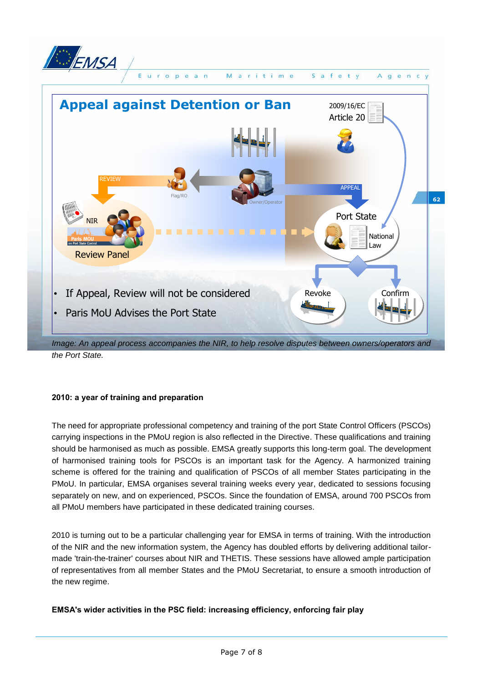



### **2010: a year of training and preparation**

The need for appropriate professional competency and training of the port State Control Officers (PSCOs) carrying inspections in the PMoU region is also reflected in the Directive. These qualifications and training should be harmonised as much as possible. EMSA greatly supports this long-term goal. The development of harmonised training tools for PSCOs is an important task for the Agency. A harmonized training scheme is offered for the training and qualification of PSCOs of all member States participating in the PMoU. In particular, EMSA organises several training weeks every year, dedicated to sessions focusing separately on new, and on experienced, PSCOs. Since the foundation of EMSA, around 700 PSCOs from all PMoU members have participated in these dedicated training courses.

2010 is turning out to be a particular challenging year for EMSA in terms of training. With the introduction of the NIR and the new information system, the Agency has doubled efforts by delivering additional tailormade 'train-the-trainer' courses about NIR and THETIS. These sessions have allowed ample participation of representatives from all member States and the PMoU Secretariat, to ensure a smooth introduction of the new regime.

## **EMSA's wider activities in the PSC field: increasing efficiency, enforcing fair play**